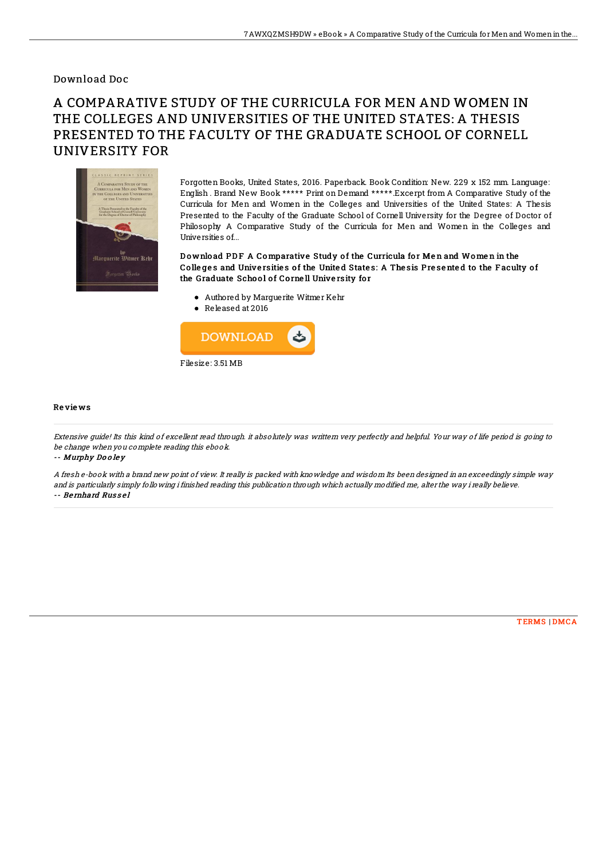## Download Doc

## A COMPARATIVE STUDY OF THE CURRICULA FOR MEN AND WOMEN IN THE COLLEGES AND UNIVERSITIES OF THE UNITED STATES: A THESIS PRESENTED TO THE FACULTY OF THE GRADUATE SCHOOL OF CORNELL UNIVERSITY FOR



Forgotten Books, United States, 2016. Paperback. Book Condition: New. 229 x 152 mm. Language: English . Brand New Book \*\*\*\*\* Print on Demand \*\*\*\*\*.Excerpt from A Comparative Study of the Curricula for Men and Women in the Colleges and Universities of the United States: A Thesis Presented to the Faculty of the Graduate School of Cornell University for the Degree of Doctor of Philosophy A Comparative Study of the Curricula for Men and Women in the Colleges and Universities of...

Download PDF A Comparative Study of the Curricula for Men and Women in the Colleges and Universities of the United States: A Thesis Presented to the Faculty of the Graduate School of Cornell University for

- Authored by Marguerite Witmer Kehr
- Released at 2016



## Re vie ws

Extensive guide! Its this kind of excellent read through. it absolutely was writtern very perfectly and helpful. Your way of life period is going to be change when you complete reading this ebook.

-- Murphy Do <sup>o</sup> le y

A fresh e-book with <sup>a</sup> brand new point of view. It really is packed with knowledge and wisdom Its been designed in an exceedingly simple way and is particularly simply following i finished reading this publication through which actually modified me, alter the way i really believe. -- Be rnhard Rus s e l